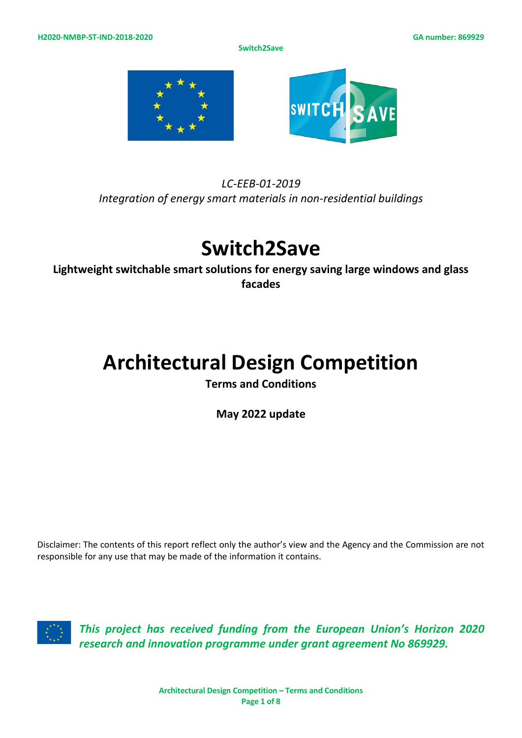**Switch2Save**



## *LC-EEB-01-2019 Integration of energy smart materials in non-residential buildings*

# **Switch2Save**

**Lightweight switchable smart solutions for energy saving large windows and glass facades**

# **Architectural Design Competition**

**Terms and Conditions**

**May 2022 update**

Disclaimer: The contents of this report reflect only the author's view and the Agency and the Commission are not responsible for any use that may be made of the information it contains.



*This project has received funding from the European Union's Horizon 2020 research and innovation programme under grant agreement No 869929.*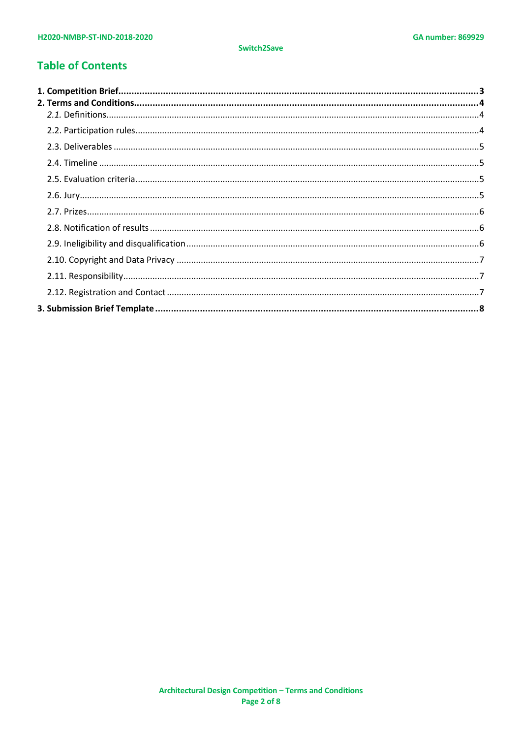## **Table of Contents**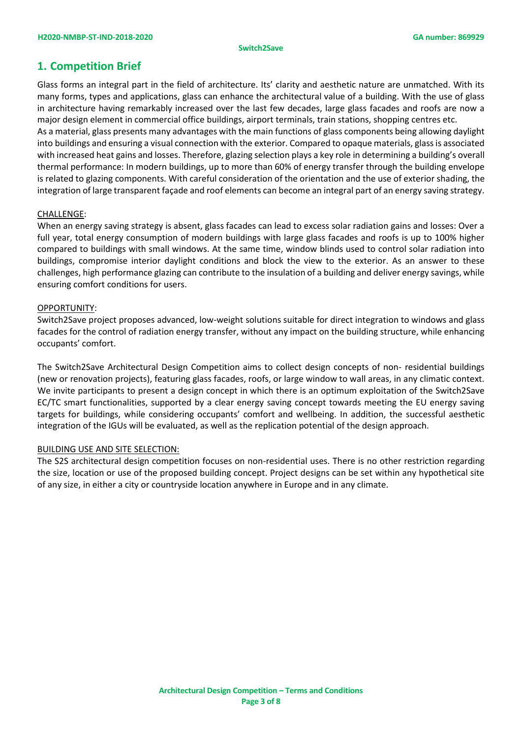#### **Switch2Save**

## <span id="page-2-0"></span>**1. Competition Brief**

Glass forms an integral part in the field of architecture. Its' clarity and aesthetic nature are unmatched. With its many forms, types and applications, glass can enhance the architectural value of a building. With the use of glass in architecture having remarkably increased over the last few decades, large glass facades and roofs are now a major design element in commercial office buildings, airport terminals, train stations, shopping centres etc. As a material, glass presents many advantages with the main functions of glass components being allowing daylight into buildings and ensuring a visual connection with the exterior. Compared to opaque materials, glass is associated with increased heat gains and losses. Therefore, glazing selection plays a key role in determining a building's overall thermal performance: In modern buildings, up to more than 60% of energy transfer through the building envelope is related to glazing components. With careful consideration of the orientation and the use of exterior shading, the integration of large transparent façade and roof elements can become an integral part of an energy saving strategy.

## CHALLENGE:

When an energy saving strategy is absent, glass facades can lead to excess solar radiation gains and losses: Over a full year, total energy consumption of modern buildings with large glass facades and roofs is up to 100% higher compared to buildings with small windows. At the same time, window blinds used to control solar radiation into buildings, compromise interior daylight conditions and block the view to the exterior. As an answer to these challenges, high performance glazing can contribute to the insulation of a building and deliver energy savings, while ensuring comfort conditions for users.

### OPPORTUNITY:

Switch2Save project proposes advanced, low-weight solutions suitable for direct integration to windows and glass facades for the control of radiation energy transfer, without any impact on the building structure, while enhancing occupants' comfort.

The Switch2Save Architectural Design Competition aims to collect design concepts of non- residential buildings (new or renovation projects), featuring glass facades, roofs, or large window to wall areas, in any climatic context. We invite participants to present a design concept in which there is an optimum exploitation of the Switch2Save EC/TC smart functionalities, supported by a clear energy saving concept towards meeting the EU energy saving targets for buildings, while considering occupants' comfort and wellbeing. In addition, the successful aesthetic integration of the IGUs will be evaluated, as well as the replication potential of the design approach.

### BUILDING USE AND SITE SELECTION:

The S2S architectural design competition focuses on non-residential uses. There is no other restriction regarding the size, location or use of the proposed building concept. Project designs can be set within any hypothetical site of any size, in either a city or countryside location anywhere in Europe and in any climate.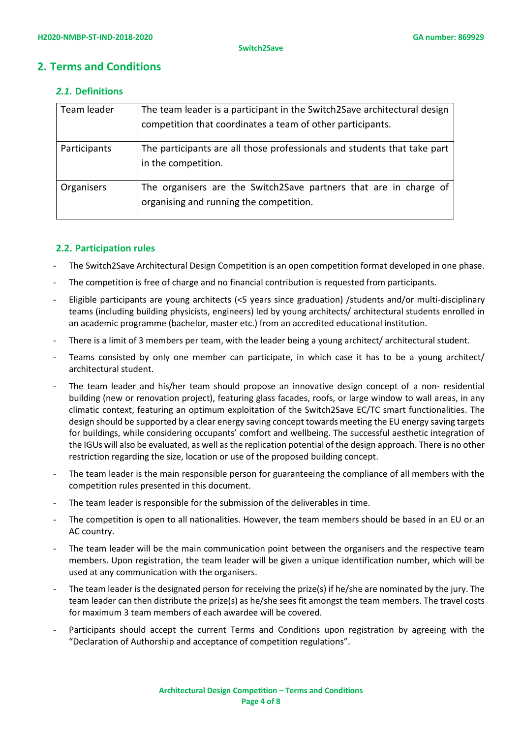## <span id="page-3-1"></span><span id="page-3-0"></span>**2. Terms and Conditions**

## *2.1.* **Definitions**

| Team leader  | The team leader is a participant in the Switch2Save architectural design<br>competition that coordinates a team of other participants. |
|--------------|----------------------------------------------------------------------------------------------------------------------------------------|
| Participants | The participants are all those professionals and students that take part<br>in the competition.                                        |
| Organisers   | The organisers are the Switch2Save partners that are in charge of<br>organising and running the competition.                           |

## <span id="page-3-2"></span>**2.2. Participation rules**

- The Switch2Save Architectural Design Competition is an open competition format developed in one phase.
- The competition is free of charge and no financial contribution is requested from participants.
- Eligible participants are young architects (<5 years since graduation) /students and/or multi-disciplinary teams (including building physicists, engineers) led by young architects/ architectural students enrolled in an academic programme (bachelor, master etc.) from an accredited educational institution.
- There is a limit of 3 members per team, with the leader being a young architect/ architectural student.
- Teams consisted by only one member can participate, in which case it has to be a young architect/ architectural student.
- The team leader and his/her team should propose an innovative design concept of a non- residential building (new or renovation project), featuring glass facades, roofs, or large window to wall areas, in any climatic context, featuring an optimum exploitation of the Switch2Save EC/TC smart functionalities. The design should be supported by a clear energy saving concept towards meeting the EU energy saving targets for buildings, while considering occupants' comfort and wellbeing. The successful aesthetic integration of the IGUs will also be evaluated, as well as the replication potential of the design approach. There is no other restriction regarding the size, location or use of the proposed building concept.
- The team leader is the main responsible person for guaranteeing the compliance of all members with the competition rules presented in this document.
- The team leader is responsible for the submission of the deliverables in time.
- The competition is open to all nationalities. However, the team members should be based in an EU or an AC country.
- The team leader will be the main communication point between the organisers and the respective team members. Upon registration, the team leader will be given a unique identification number, which will be used at any communication with the organisers.
- The team leader is the designated person for receiving the prize(s) if he/she are nominated by the jury. The team leader can then distribute the prize(s) as he/she sees fit amongst the team members. The travel costs for maximum 3 team members of each awardee will be covered.
- Participants should accept the current Terms and Conditions upon registration by agreeing with the "Declaration of Authorship and acceptance of competition regulations".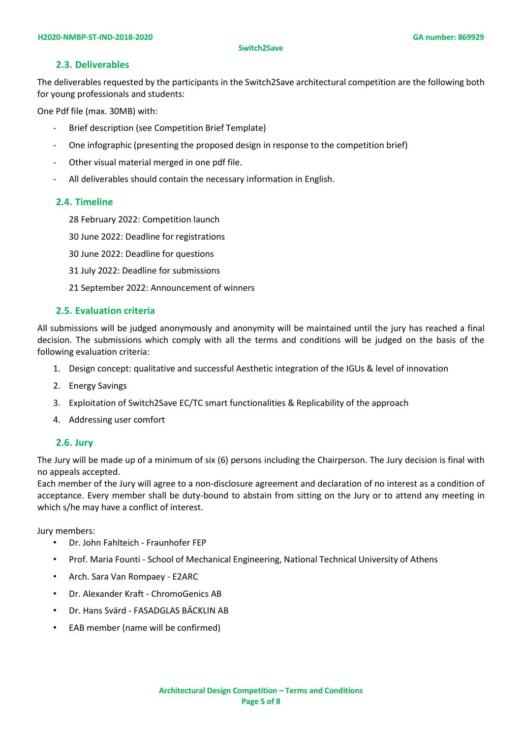## **2.3. Deliverables**

<span id="page-4-0"></span>The deliverables requested by the participants in the Switch2Save architectural competition are the following both for young professionals and students:

One Pdf file (max. 30MB) with:

- Brief description (see Competition Brief Template)
- One infographic (presenting the proposed design in response to the competition brief)
- Other visual material merged in one pdf file.
- All deliverables should contain the necessary information in English.

## <span id="page-4-1"></span>**2.4. Timeline**

- 28 February 2022: Competition launch
- 30 June 2022: Deadline for registrations
- 30 June 2022: Deadline for questions
- 31 July 2022: Deadline for submissions
- 21 September 2022: Announcement of winners

## <span id="page-4-2"></span>**2.5. Evaluation criteria**

All submissions will be judged anonymously and anonymity will be maintained until the jury has reached a final decision. The submissions which comply with all the terms and conditions will be judged on the basis of the following evaluation criteria:

- 1. Design concept: qualitative and successful Aesthetic integration of the IGUs & level of innovation
- 2. Energy Savings
- 3. Exploitation of Switch2Save EC/TC smart functionalities & Replicability of the approach
- 4. Addressing user comfort

## <span id="page-4-3"></span>**2.6. Jury**

The Jury will be made up of a minimum of six (6) persons including the Chairperson. The Jury decision is final with no appeals accepted.

Each member of the Jury will agree to a non-disclosure agreement and declaration of no interest as a condition of acceptance. Every member shall be duty-bound to abstain from sitting on the Jury or to attend any meeting in which s/he may have a conflict of interest.

Jury members:

- Dr. John Fahlteich Fraunhofer FEP
- Prof. Maria Founti School of Mechanical Engineering, National Technical University of Athens
- Arch. Sara Van Rompaey E2ARC
- Dr. Alexander Kraft ChromoGenics AB
- Dr. Hans Svärd FASADGLAS BÄCKLIN AB
- EAB member (name will be confirmed)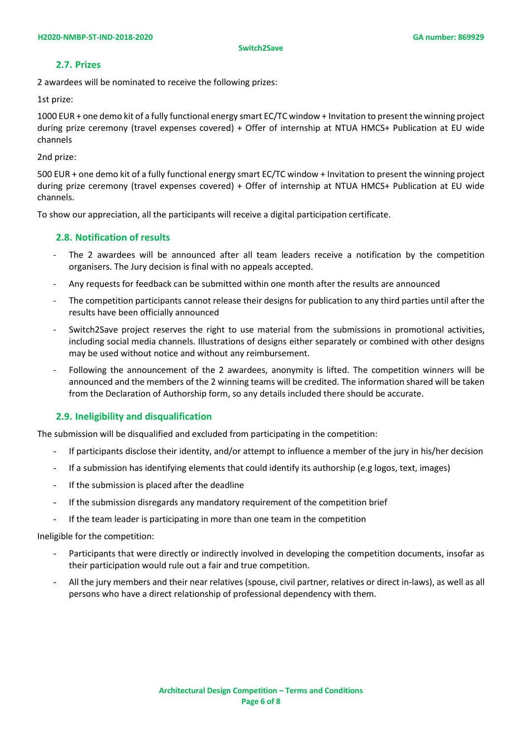## **2.7. Prizes**

<span id="page-5-0"></span>2 awardees will be nominated to receive the following prizes:

1st prize:

1000 EUR + one demo kit of a fully functional energy smart EC/TC window + Invitation to present the winning project during prize ceremony (travel expenses covered) + Offer of internship at NTUA HMCS+ Publication at EU wide channels

2nd prize:

500 EUR + one demo kit of a fully functional energy smart EC/TC window + Invitation to present the winning project during prize ceremony (travel expenses covered) + Offer of internship at NTUA HMCS+ Publication at EU wide channels.

<span id="page-5-1"></span>To show our appreciation, all the participants will receive a digital participation certificate.

## **2.8. Notification of results**

- The 2 awardees will be announced after all team leaders receive a notification by the competition organisers. The Jury decision is final with no appeals accepted.
- Any requests for feedback can be submitted within one month after the results are announced
- The competition participants cannot release their designs for publication to any third parties until after the results have been officially announced
- Switch2Save project reserves the right to use material from the submissions in promotional activities, including social media channels. Illustrations of designs either separately or combined with other designs may be used without notice and without any reimbursement.
- Following the announcement of the 2 awardees, anonymity is lifted. The competition winners will be announced and the members of the 2 winning teams will be credited. The information shared will be taken from the Declaration of Authorship form, so any details included there should be accurate.

## <span id="page-5-2"></span>**2.9. Ineligibility and disqualification**

The submission will be disqualified and excluded from participating in the competition:

- If participants disclose their identity, and/or attempt to influence a member of the jury in his/her decision
- If a submission has identifying elements that could identify its authorship (e.g logos, text, images)
- If the submission is placed after the deadline
- If the submission disregards any mandatory requirement of the competition brief
- If the team leader is participating in more than one team in the competition

Ineligible for the competition:

- Participants that were directly or indirectly involved in developing the competition documents, insofar as their participation would rule out a fair and true competition.
- All the jury members and their near relatives (spouse, civil partner, relatives or direct in‐laws), as well as all persons who have a direct relationship of professional dependency with them.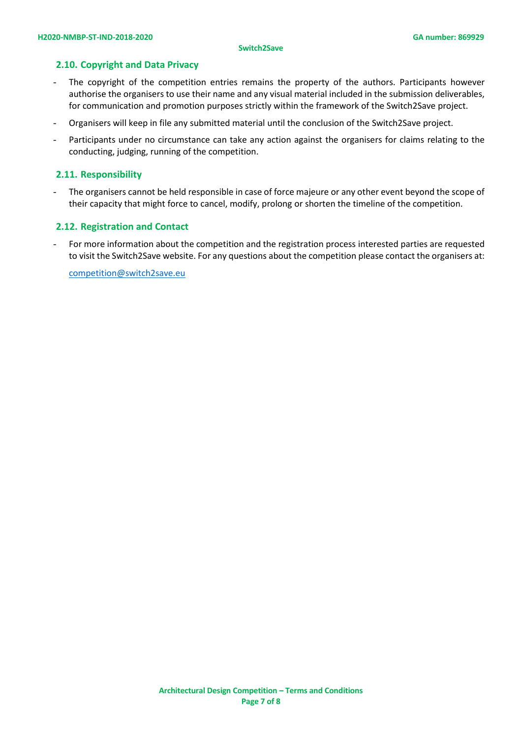#### **Switch2Save**

## <span id="page-6-0"></span>**2.10. Copyright and Data Privacy**

- The copyright of the competition entries remains the property of the authors. Participants however authorise the organisers to use their name and any visual material included in the submission deliverables, for communication and promotion purposes strictly within the framework of the Switch2Save project.
- Organisers will keep in file any submitted material until the conclusion of the Switch2Save project.
- Participants under no circumstance can take any action against the organisers for claims relating to the conducting, judging, running of the competition.

## <span id="page-6-1"></span>**2.11. Responsibility**

The organisers cannot be held responsible in case of force majeure or any other event beyond the scope of their capacity that might force to cancel, modify, prolong or shorten the timeline of the competition.

## <span id="page-6-2"></span>**2.12. Registration and Contact**

- For more information about the competition and the registration process interested parties are requested to visit the Switch2Save website. For any questions about the competition please contact the organisers at:

[competition@switch2save.eu](mailto:competition@switch2save.eu)